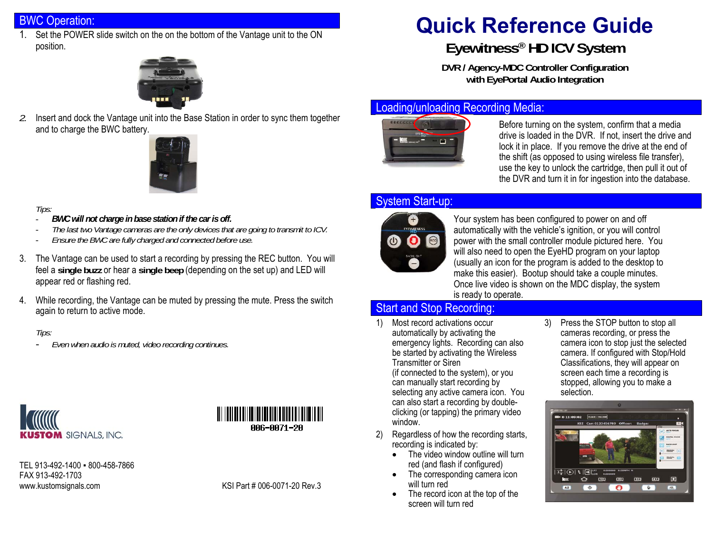### BWC Operation:

1. Set the POWER slide switch on the on the bottom of the Vantage unit to the ON position.



*2.* Insert and dock the Vantage unit into the Base Station in order to sync them together and to charge the BWC battery.



#### *Tips:*

- *BWC will not charge in base station if the car is off.*
- *The last two Vantage cameras are the only devices that are going to transmit to ICV.*
- *Ensure the BWC are fully charged and connected before use.*
- 3. The Vantage can be used to start a recording by pressing the REC button. You will feel a **single buzz** or hear a **single beep** (depending on the set up) and LED will appear red or flashing red.
- 4. While recording, the Vantage can be muted by pressing the mute. Press the switch again to return to active mode.

#### *Tips:*

*Even when audio is muted, video recording continues.*





TEL 913-492-1400 · 800-458-7866 FAX 913-492-1703 www.kustomsignals.com KSI Part # 006-0071-20 Rev.3

# **Quick Reference Guide**

# **Eyewitness® HD ICV System**

**DVR / Agency-MDC Controller Configuration with EyePortal Audio Integration** 

#### Loading/unloading Recording Media:



Before turning on the system, confirm that a media drive is loaded in the DVR. If not, insert the drive and lock it in place. If you remove the drive at the end of the shift (as opposed to using wireless file transfer), use the key to unlock the cartridge, then pull it out of the DVR and turn it in for ingestion into the database.

#### System Start-up:



Your system has been configured to power on and off automatically with the vehicle's ignition, or you will control power with the small controller module pictured here. You will also need to open the EyeHD program on your laptop (usually an icon for the program is added to the desktop to make this easier). Bootup should take a couple minutes. Once live video is shown on the MDC display, the system is ready to operate.

## Start and Stop Recording:

- 1) Most record activations occur automatically by activating the emergency lights. Recording can also be started by activating the Wireless Transmitter or Siren (if connected to the system), or you can manually start recording by selecting any active camera icon. You can also start a recording by doubleclicking (or tapping) the primary video window.
- 2) Regardless of how the recording starts, recording is indicated by:
	- The video window outline will turn red (and flash if configured)
	- The corresponding camera icon will turn red
	- The record icon at the top of the screen will turn red

3) Press the STOP button to stop all cameras recording, or press the camera icon to stop just the selected camera. If configured with Stop/Hold Classifications, they will appear on screen each time a recording is stopped, allowing you to make a selection.